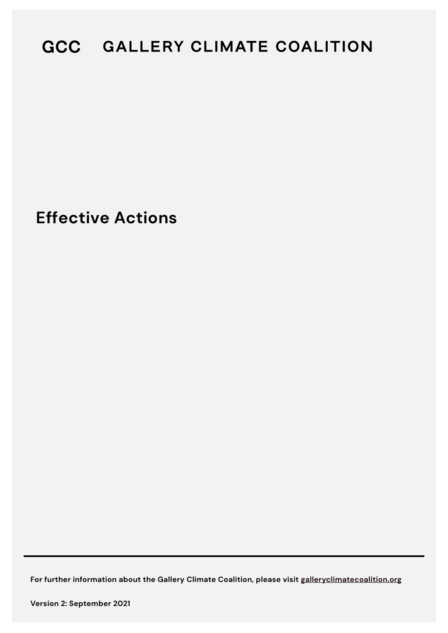# GCC GALLERY CLIMATE COALITION

**Effective Actions** 

**For further information about the Gallery Climate Coalition, please visit [galleryclimatecoalition.org](http://www.galleryclimatecoalition.org)**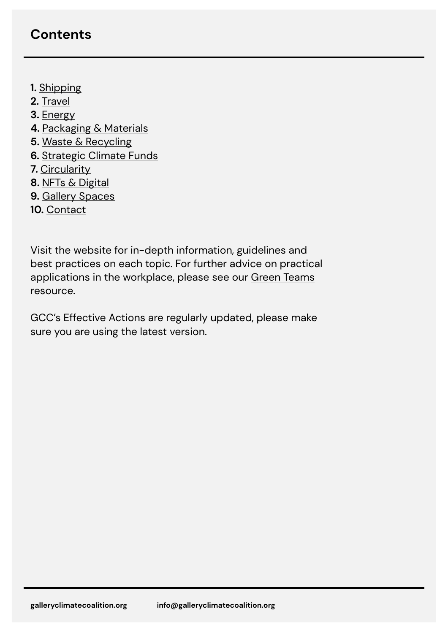## **Contents**

- **1.** [Shipping](https://galleryclimatecoalition.org/shipping/)
- **2.** [Travel](https://galleryclimatecoalition.org/travel/)
- **3.** [Energy](https://galleryclimatecoalition.org/energy/)
- **4.** [Packaging & Materials](https://galleryclimatecoalition.org/packaging/)
- **5.** [Waste & Recycling](https://galleryclimatecoalition.org/recycling/)
- **6.** [Strategic Climate Funds](https://galleryclimatecoalition.org/scfs/)
- **7.** [Circularity](https://galleryclimatecoalition.org/circularity/)
- **8.** [NFTs & Digital](https://galleryclimatecoalition.org/digital/)
- **9.** [Gallery Spaces](https://galleryclimatecoalition.org/gallery-spaces/)
- **10.** [Contact](https://galleryclimatecoalition.org/about/)

Visit the website for in-depth information, guidelines and best practices on each topic. For further advice on practical applications in the workplace, please see our [Green Teams](https://galleryclimatecoalition.org/volunteers/green-teams/) resource.

GCC's Effective Actions are regularly updated, please make sure you are using the latest version.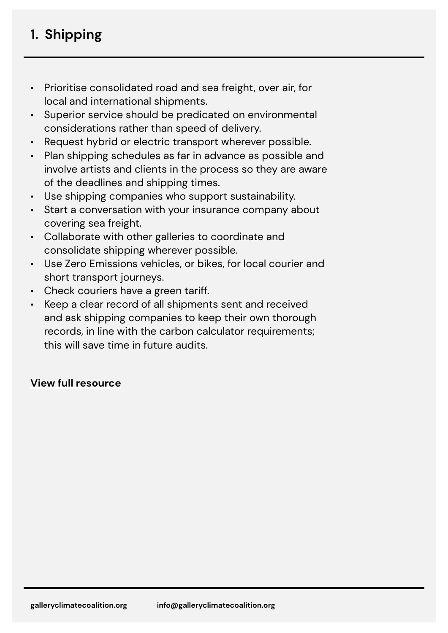## **1. Shipping**

- Prioritise consolidated road and sea freight, over air, for local and international shipments.
- Superior service should be predicated on environmental considerations rather than speed of delivery.
- Request hybrid or electric transport wherever possible.
- Plan shipping schedules as far in advance as possible and involve artists and clients in the process so they are aware of the deadlines and shipping times.
- Use shipping companies who support sustainability.
- Start a conversation with your insurance company about covering sea freight.
- Collaborate with other galleries to coordinate and consolidate shipping wherever possible.
- Use Zero Emissions vehicles, or bikes, for local courier and short transport journeys.
- Check couriers have a green tariff.
- Keep a clear record of all shipments sent and received and ask shipping companies to keep their own thorough records, in line with the carbon calculator requirements; this will save time in future audits.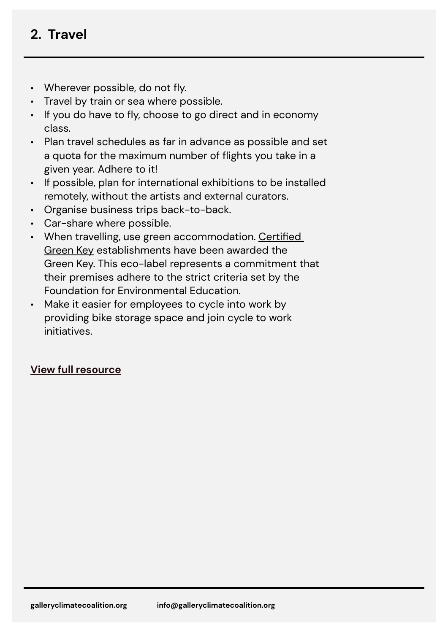## **2. Travel**

- Wherever possible, do not fly.
- Travel by train or sea where possible.
- If you do have to fly, choose to go direct and in economy class.
- Plan travel schedules as far in advance as possible and set a quota for the maximum number of flights you take in a given year. Adhere to it!
- If possible, plan for international exhibitions to be installed remotely, without the artists and external curators.
- Organise business trips back-to-back.
- Car-share where possible.
- When travelling, use green accommodation. [Certified](https://www.greenkey.global/)  [Green Key](https://www.greenkey.global/) establishments have been awarded the Green Key. This eco-label represents a commitment that their premises adhere to the strict criteria set by the Foundation for Environmental Education.
- Make it easier for employees to cycle into work by providing bike storage space and join cycle to work initiatives.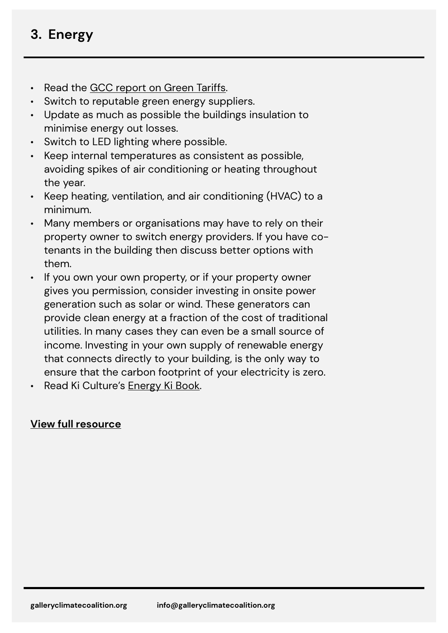## **3. Energy**

- Read the [GCC report on Green Tariffs](https://galleryclimatecoalition.org/news/44-gcc-commissioned-report-green-energy-suppliers-and-the/).
- Switch to reputable green energy suppliers.
- Update as much as possible the buildings insulation to minimise energy out losses.
- Switch to LED lighting where possible.
- Keep internal temperatures as consistent as possible, avoiding spikes of air conditioning or heating throughout the year.
- Keep heating, ventilation, and air conditioning (HVAC) to a minimum.
- Many members or organisations may have to rely on their property owner to switch energy providers. If you have cotenants in the building then discuss better options with them.
- If you own your own property, or if your property owner gives you permission, consider investing in onsite power generation such as solar or wind. These generators can provide clean energy at a fraction of the cost of traditional utilities. In many cases they can even be a small source of income. Investing in your own supply of renewable energy that connects directly to your building, is the only way to ensure that the carbon footprint of your electricity is zero.
- Read Ki Culture's [Energy Ki Book](https://www.kiculture.org/ki-books/).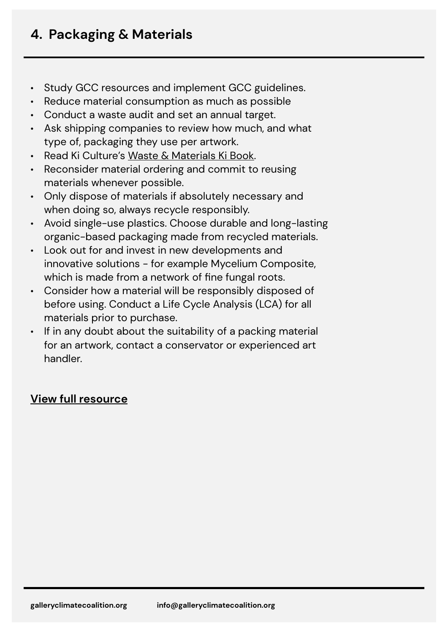- Study GCC resources and implement GCC guidelines.
- Reduce material consumption as much as possible
- Conduct a waste audit and set an annual target.
- Ask shipping companies to review how much, and what type of, packaging they use per artwork.
- Read Ki Culture's [Waste & Materials Ki Book.](https://www.kiculture.org/ki-books/)
- Reconsider material ordering and commit to reusing materials whenever possible.
- Only dispose of materials if absolutely necessary and when doing so, always recycle responsibly.
- Avoid single-use plastics. Choose durable and long-lasting organic-based packaging made from recycled materials.
- Look out for and invest in new developments and innovative solutions - for example Mycelium Composite, which is made from a network of fine fungal roots.
- Consider how a material will be responsibly disposed of before using. Conduct a Life Cycle Analysis (LCA) for all materials prior to purchase.
- If in any doubt about the suitability of a packing material for an artwork, contact a conservator or experienced art handler.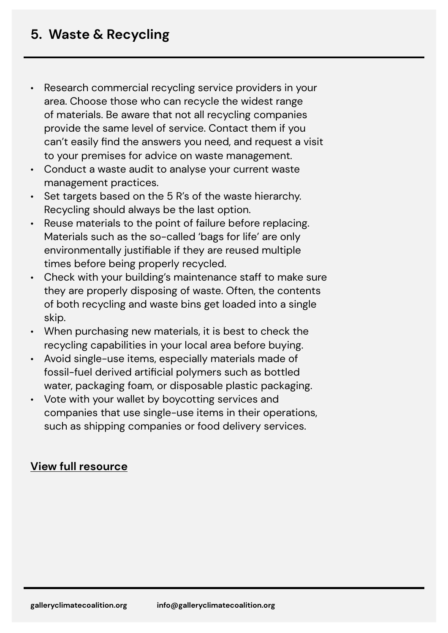- Research commercial recycling service providers in your area. Choose those who can recycle the widest range of materials. Be aware that not all recycling companies provide the same level of service. Contact them if you can't easily find the answers you need, and request a visit to your premises for advice on waste management.
- Conduct a waste audit to analyse your current waste management practices.
- Set targets based on the 5 R's of the waste hierarchy. Recycling should always be the last option.
- Reuse materials to the point of failure before replacing. Materials such as the so-called 'bags for life' are only environmentally justifiable if they are reused multiple times before being properly recycled.
- Check with your building's maintenance staff to make sure they are properly disposing of waste. Often, the contents of both recycling and waste bins get loaded into a single skip.
- When purchasing new materials, it is best to check the recycling capabilities in your local area before buying.
- Avoid single-use items, especially materials made of fossil-fuel derived artificial polymers such as bottled water, packaging foam, or disposable plastic packaging.
- Vote with your wallet by boycotting services and companies that use single-use items in their operations, such as shipping companies or food delivery services.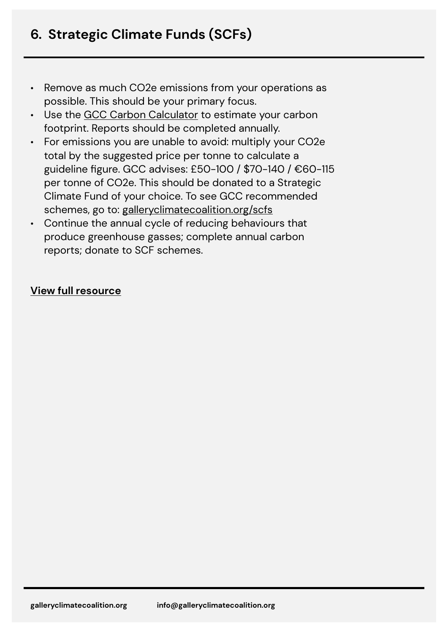- Remove as much CO2e emissions from your operations as possible. This should be your primary focus.
- Use the [GCC Carbon Calculator](https://galleryclimatecoalition.org/carbon-calculator/) to estimate your carbon footprint. Reports should be completed annually.
- For emissions you are unable to avoid: multiply your CO2e total by the suggested price per tonne to calculate a guideline figure. GCC advises: £50-100 / \$70-140 / €60-115 per tonne of CO2e. This should be donated to a Strategic Climate Fund of your choice. To see GCC recommended schemes, go to: [galleryclimatecoalition.org/scfs](https://galleryclimatecoalition.org/scfs/)
- Continue the annual cycle of reducing behaviours that produce greenhouse gasses; complete annual carbon reports; donate to SCF schemes.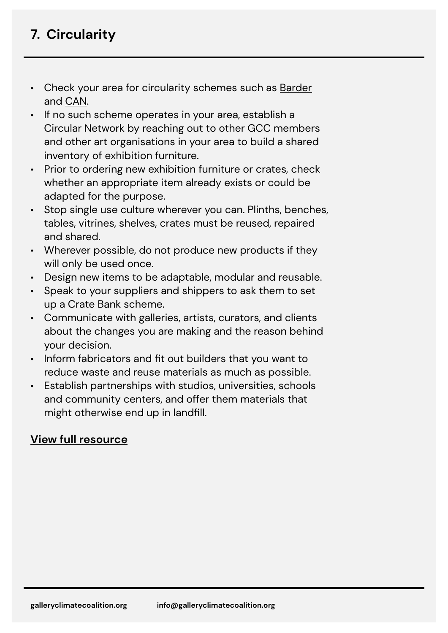## **7. Circularity**

- Check your area for circularity schemes such as [Barder](https://www.barder.art/) and [CAN](https://www.canarts.org.uk/).
- If no such scheme operates in your area, establish a Circular Network by reaching out to other GCC members and other art organisations in your area to build a shared inventory of exhibition furniture.
- Prior to ordering new exhibition furniture or crates, check whether an appropriate item already exists or could be adapted for the purpose.
- Stop single use culture wherever you can. Plinths, benches, tables, vitrines, shelves, crates must be reused, repaired and shared.
- Wherever possible, do not produce new products if they will only be used once.
- Design new items to be adaptable, modular and reusable.
- Speak to your suppliers and shippers to ask them to set up a Crate Bank scheme.
- Communicate with galleries, artists, curators, and clients about the changes you are making and the reason behind your decision.
- Inform fabricators and fit out builders that you want to reduce waste and reuse materials as much as possible.
- Establish partnerships with studios, universities, schools and community centers, and offer them materials that might otherwise end up in landfill.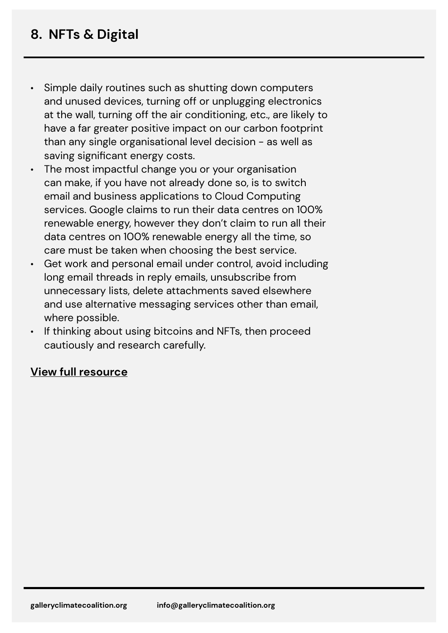- Simple daily routines such as shutting down computers and unused devices, turning off or unplugging electronics at the wall, turning off the air conditioning, etc., are likely to have a far greater positive impact on our carbon footprint than any single organisational level decision - as well as saving significant energy costs.
- The most impactful change you or your organisation can make, if you have not already done so, is to switch email and business applications to Cloud Computing services. Google claims to run their data centres on 100% renewable energy, however they don't claim to run all their data centres on 100% renewable energy all the time, so care must be taken when choosing the best service.
- Get work and personal email under control, avoid including long email threads in reply emails, unsubscribe from unnecessary lists, delete attachments saved elsewhere and use alternative messaging services other than email, where possible.
- If thinking about using bitcoins and NFTs, then proceed cautiously and research carefully.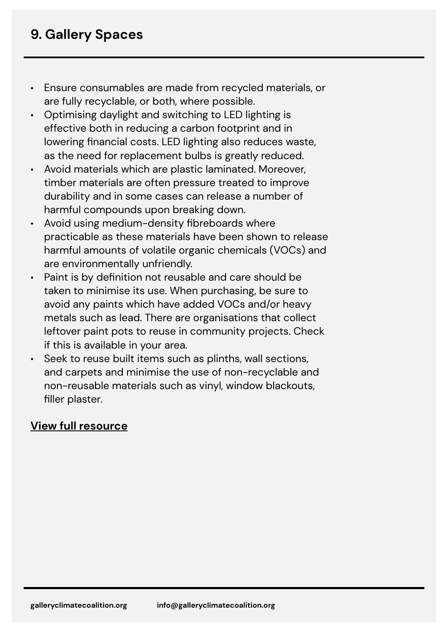- Ensure consumables are made from recycled materials, or are fully recyclable, or both, where possible.
- Optimising daylight and switching to LED lighting is effective both in reducing a carbon footprint and in lowering financial costs. LED lighting also reduces waste, as the need for replacement bulbs is greatly reduced.
- Avoid materials which are plastic laminated. Moreover, timber materials are often pressure treated to improve durability and in some cases can release a number of harmful compounds upon breaking down.
- Avoid using medium-density fibreboards where practicable as these materials have been shown to release harmful amounts of volatile organic chemicals (VOCs) and are environmentally unfriendly.
- Paint is by definition not reusable and care should be taken to minimise its use. When purchasing, be sure to avoid any paints which have added VOCs and/or heavy metals such as lead. There are organisations that collect leftover paint pots to reuse in community projects. Check if this is available in your area.
- Seek to reuse built items such as plinths, wall sections, and carpets and minimise the use of non-recyclable and non-reusable materials such as vinyl, window blackouts, filler plaster.